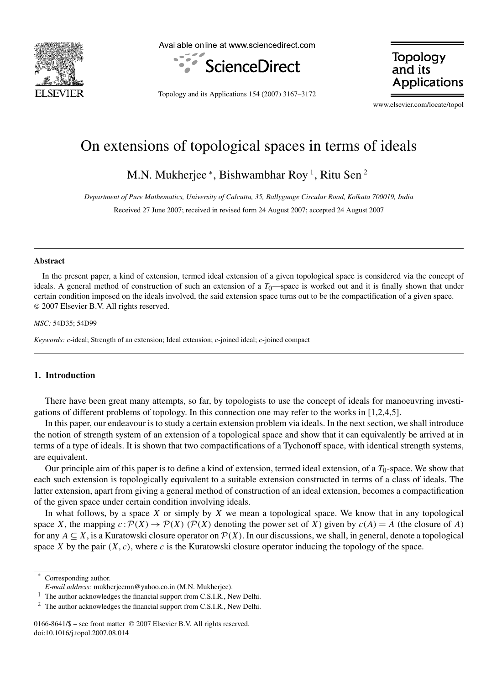

Available online at www.sciencedirect.com



**Topology** and its **Applications** 

Topology and its Applications 154 (2007) 3167–3172

www.elsevier.com/locate/topol

# On extensions of topological spaces in terms of ideals

M.N. Mukherjee \*, Bishwambhar Roy <sup>1</sup>, Ritu Sen <sup>2</sup>

*Department of Pure Mathematics, University of Calcutta, 35, Ballygunge Circular Road, Kolkata 700019, India*

Received 27 June 2007; received in revised form 24 August 2007; accepted 24 August 2007

## **Abstract**

In the present paper, a kind of extension, termed ideal extension of a given topological space is considered via the concept of ideals. A general method of construction of such an extension of a  $T_0$ —space is worked out and it is finally shown that under certain condition imposed on the ideals involved, the said extension space turns out to be the compactification of a given space. 2007 Elsevier B.V. All rights reserved.

#### *MSC:* 54D35; 54D99

*Keywords:* c-ideal; Strength of an extension; Ideal extension; c-joined ideal; c-joined compact

# **1. Introduction**

There have been great many attempts, so far, by topologists to use the concept of ideals for manoeuvring investigations of different problems of topology. In this connection one may refer to the works in [1,2,4,5].

In this paper, our endeavour is to study a certain extension problem via ideals. In the next section, we shall introduce the notion of strength system of an extension of a topological space and show that it can equivalently be arrived at in terms of a type of ideals. It is shown that two compactifications of a Tychonoff space, with identical strength systems, are equivalent.

Our principle aim of this paper is to define a kind of extension, termed ideal extension, of a  $T_0$ -space. We show that each such extension is topologically equivalent to a suitable extension constructed in terms of a class of ideals. The latter extension, apart from giving a general method of construction of an ideal extension, becomes a compactification of the given space under certain condition involving ideals.

In what follows, by a space  $X$  or simply by  $X$  we mean a topological space. We know that in any topological space X, the mapping  $c : \mathcal{P}(X) \to \mathcal{P}(X)$  ( $\mathcal{P}(X)$  denoting the power set of X) given by  $c(A) = \overline{A}$  (the closure of A) for any  $A \subseteq X$ , is a Kuratowski closure operator on  $\mathcal{P}(X)$ . In our discussions, we shall, in general, denote a topological space X by the pair  $(X, c)$ , where c is the Kuratowski closure operator inducing the topology of the space.

Corresponding author.

*E-mail address:* mukherjeemn@yahoo.co.in (M.N. Mukherjee).

<sup>1</sup> The author acknowledges the financial support from C.S.I.R., New Delhi.

<sup>&</sup>lt;sup>2</sup> The author acknowledges the financial support from C.S.I.R., New Delhi.

<sup>0166-8641/\$ –</sup> see front matter © 2007 Elsevier B.V. All rights reserved. doi:10.1016/j.topol.2007.08.014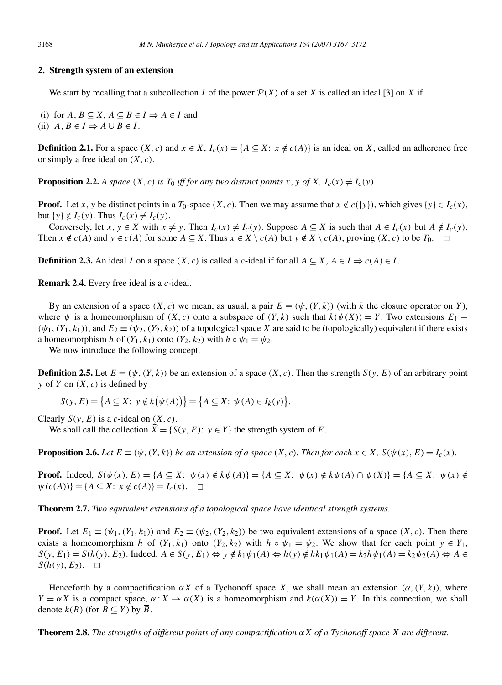## **2. Strength system of an extension**

We start by recalling that a subcollection I of the power  $\mathcal{P}(X)$  of a set X is called an ideal [3] on X if

(i) for  $A, B \subseteq X, A \subseteq B \in I \Rightarrow A \in I$  and (ii)  $A, B \in I \Rightarrow A \cup B \in I$ .

**Definition 2.1.** For a space  $(X, c)$  and  $x \in X$ ,  $I_c(x) = \{A \subseteq X : x \notin c(A)\}$  is an ideal on X, called an adherence free or simply a free ideal on  $(X, c)$ .

**Proposition 2.2.** *A space*  $(X, c)$  *is*  $T_0$  *iff for any two distinct points*  $x, y$  *of*  $X, I_c(x) \neq I_c(y)$ *.* 

**Proof.** Let x, y be distinct points in a  $T_0$ -space  $(X, c)$ . Then we may assume that  $x \notin c({y})$ , which gives  ${y} \in I_c(x)$ , but  $\{y\} \notin I_c(y)$ . Thus  $I_c(x) \neq I_c(y)$ .

Conversely, let  $x, y \in X$  with  $x \neq y$ . Then  $I_c(x) \neq I_c(y)$ . Suppose  $A \subseteq X$  is such that  $A \in I_c(x)$  but  $A \notin I_c(y)$ . Then  $x \notin c(A)$  and  $y \in c(A)$  for some  $A \subseteq X$ . Thus  $x \in X \setminus c(A)$  but  $y \notin X \setminus c(A)$ , proving  $(X, c)$  to be  $T_0$ .  $\Box$ 

**Definition 2.3.** An ideal I on a space  $(X, c)$  is called a c-ideal if for all  $A \subseteq X$ ,  $A \in I \Rightarrow c(A) \in I$ .

**Remark 2.4.** Every free ideal is a *c*-ideal.

By an extension of a space  $(X, c)$  we mean, as usual, a pair  $E \equiv (\psi, (Y, k))$  (with k the closure operator on Y), where  $\psi$  is a homeomorphism of  $(X, c)$  onto a subspace of  $(Y, k)$  such that  $k(\psi(X)) = Y$ . Two extensions  $E_1 \equiv$  $(\psi_1, (Y_1, k_1))$ , and  $E_2 \equiv (\psi_2, (Y_2, k_2))$  of a topological space X are said to be (topologically) equivalent if there exists a homeomorphism h of  $(Y_1, k_1)$  onto  $(Y_2, k_2)$  with  $h \circ \psi_1 = \psi_2$ .

We now introduce the following concept.

**Definition 2.5.** Let  $E \equiv (\psi, (Y, k))$  be an extension of a space  $(X, c)$ . Then the strength  $S(y, E)$  of an arbitrary point y of Y on  $(X, c)$  is defined by

 $S(y, E) = \{ A \subseteq X : y \notin k(\psi(A)) \} = \{ A \subseteq X : \psi(A) \in I_k(y) \}.$ 

Clearly  $S(y, E)$  is a c-ideal on  $(X, c)$ .

We shall call the collection  $\hat{X} = \{S(y, E): y \in Y\}$  the strength system of E.

**Proposition 2.6.** *Let*  $E \equiv (\psi, (Y, k))$  *be an extension of a space*  $(X, c)$ *. Then for each*  $x \in X$ *,*  $S(\psi(x), E) = I_c(x)$ *.* 

**Proof.** Indeed,  $S(\psi(x), E) = \{A \subseteq X: \psi(x) \notin k\psi(A)\} = \{A \subseteq X: \psi(x) \notin k\psi(A) \cap \psi(X)\} = \{A \subseteq X: \psi(x) \notin k\psi(A)\}$  $\psi(c(A))$ } = { $A \subseteq X$ :  $x \notin c(A)$ } =  $I_c(x)$ .  $\Box$ 

**Theorem 2.7.** *Two equivalent extensions of a topological space have identical strength systems.*

**Proof.** Let  $E_1 \equiv (\psi_1, (Y_1, k_1))$  and  $E_2 \equiv (\psi_2, (Y_2, k_2))$  be two equivalent extensions of a space  $(X, c)$ . Then there exists a homeomorphism h of  $(Y_1, k_1)$  onto  $(Y_2, k_2)$  with  $h \circ \psi_1 = \psi_2$ . We show that for each point  $y \in Y_1$ ,  $S(y, E_1) = S(h(y), E_2)$ . Indeed,  $A \in S(y, E_1) \Leftrightarrow y \notin k_1 \psi_1(A) \Leftrightarrow h(y) \notin hk_1 \psi_1(A) = k_2h\psi_1(A) = k_2\psi_2(A) \Leftrightarrow A \in S(x, E_1) \Leftrightarrow h(B) \notin kh_1 \psi_1(A) = k_2h\psi_1(A)$  $S(h(y), E_2)$ .  $\Box$ 

Henceforth by a compactification  $\alpha X$  of a Tychonoff space X, we shall mean an extension  $(\alpha, (Y, k))$ , where  $Y = \alpha X$  is a compact space,  $\alpha : X \to \alpha(X)$  is a homeomorphism and  $k(\alpha(X)) = Y$ . In this connection, we shall denote  $k(B)$  (for  $B \subseteq Y$ ) by B.

**Theorem 2.8.** *The strengths of different points of any compactification* αX *of a Tychonoff space* X *are different.*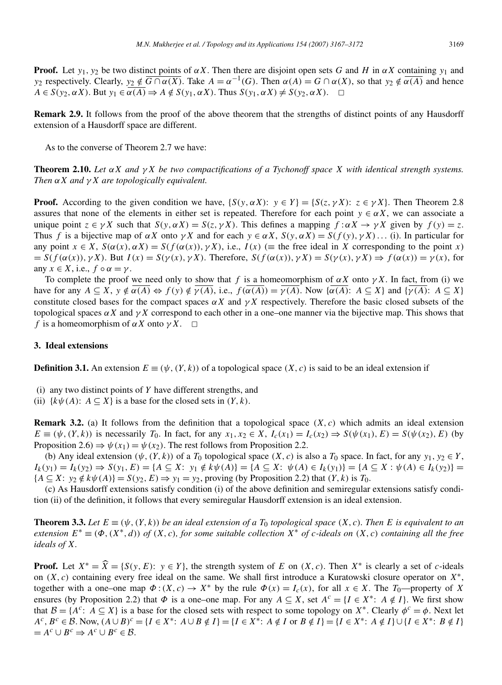**Proof.** Let  $y_1, y_2$  be two distinct points of  $\alpha X$ . Then there are disjoint open sets G and H in  $\alpha X$  containing  $y_1$  and y<sub>2</sub> respectively. Clearly,  $y_2 \notin \overline{G \cap \alpha(X)}$ . Take  $A = \alpha^{-1}(G)$ . Then  $\alpha(A) = G \cap \alpha(X)$ , so that  $y_2 \notin \overline{\alpha(A)}$  and hence  $A \in S(y_2, \alpha X)$ . But  $y_1 \in \overline{\alpha(A)} \Rightarrow A \notin S(y_1, \alpha X)$ . Thus  $S(y_1, \alpha X) \neq S(y_2, \alpha X)$ .  $\Box$ 

**Remark 2.9.** It follows from the proof of the above theorem that the strengths of distinct points of any Hausdorff extension of a Hausdorff space are different.

As to the converse of Theorem 2.7 we have:

**Theorem 2.10.** *Let* αX *and* γ X *be two compactifications of a Tychonoff space* X *with identical strength systems. Then* αX *and* γ X *are topologically equivalent.*

**Proof.** According to the given condition we have,  $\{S(y, \alpha X): y \in Y\} = \{S(z, \gamma X): z \in \gamma X\}$ . Then Theorem 2.8 assures that none of the elements in either set is repeated. Therefore for each point  $y \in \alpha X$ , we can associate a unique point  $z \in \gamma X$  such that  $S(y, \alpha X) = S(z, \gamma X)$ . This defines a mapping  $f : \alpha X \to \gamma X$  given by  $f(y) = z$ . Thus f is a bijective map of  $\alpha X$  onto  $\gamma X$  and for each  $y \in \alpha X$ ,  $S(y, \alpha X) = S(f(y), \gamma X)$ ... (i). In particular for any point  $x \in X$ ,  $S(\alpha(x), \alpha X) = S(f(\alpha(x)), \gamma X)$ , i.e.,  $I(x)$  (= the free ideal in X corresponding to the point x)  $= S(f(\alpha(x)), \gamma X)$ . But  $I(x) = S(\gamma(x), \gamma X)$ . Therefore,  $S(f(\alpha(x)), \gamma X) = S(\gamma(x), \gamma X) \Rightarrow f(\alpha(x)) = \gamma(x)$ , for any  $x \in X$ , i.e.,  $f \circ \alpha = \gamma$ .

To complete the proof we need only to show that f is a homeomorphism of  $\alpha X$  onto  $\gamma X$ . In fact, from (i) we have for any  $A \subseteq X$ ,  $y \notin \overline{\alpha(A)} \Leftrightarrow f(y) \notin \overline{\gamma(A)}$ , i.e.,  $f(\overline{\alpha(A)}) = \overline{\gamma(A)}$ . Now  $\{\overline{\alpha(A)} : A \subseteq X\}$  and  $\{\overline{\gamma(A)} : A \subseteq X\}$ constitute closed bases for the compact spaces  $\alpha X$  and  $\gamma X$  respectively. Therefore the basic closed subsets of the topological spaces  $\alpha X$  and  $\gamma X$  correspond to each other in a one–one manner via the bijective map. This shows that f is a homeomorphism of  $\alpha X$  onto  $\gamma X$ .  $\Box$ 

# **3. Ideal extensions**

**Definition 3.1.** An extension  $E \equiv (\psi, (Y, k))$  of a topological space  $(X, c)$  is said to be an ideal extension if

- (i) any two distinct points of  $Y$  have different strengths, and
- (ii)  $\{k\psi(A): A \subseteq X\}$  is a base for the closed sets in  $(Y, k)$ .

**Remark 3.2.** (a) It follows from the definition that a topological space  $(X, c)$  which admits an ideal extension  $E \equiv (\psi, (Y, k))$  is necessarily  $T_0$ . In fact, for any  $x_1, x_2 \in X$ ,  $I_c(x_1) = I_c(x_2) \Rightarrow S(\psi(x_1), E) = S(\psi(x_2), E)$  (by Proposition 2.6)  $\Rightarrow \psi(x_1) = \psi(x_2)$ . The rest follows from Proposition 2.2.

(b) Any ideal extension  $(\psi, (Y, k))$  of a  $T_0$  topological space  $(X, c)$  is also a  $T_0$  space. In fact, for any  $y_1, y_2 \in Y$ ,  $I_k(y_1) = I_k(y_2) \Rightarrow S(y_1, E) = \{A \subseteq X: y_1 \notin k\psi(A)\} = \{A \subseteq X: \psi(A) \in I_k(y_1)\} = \{A \subseteq X: \psi(A) \in I_k(y_2)\} = \{A \subseteq X: \psi(A) \in I_k(y_2)\} = \{A \subseteq X: \psi(A) \in I_k(y_2)\} = \{A \subseteq X: \psi(A) \in I_k(y_2)\} = \{A \subseteq X: \psi(A) \in I_k(y_2)\} = \{A \subseteq X: \psi(A) \in I_k(y_2)\} = \{A \subseteq X: \psi(A) \in I_k(y_2)\} = \{A \subseteq X: \psi(A$  ${A \subseteq X: y_2 \notin k\psi(A) = S(y_2, E) \Rightarrow y_1 = y_2}$ , proving (by Proposition 2.2) that  $(Y, k)$  is  $T_0$ .

(c) As Hausdorff extensions satisfy condition (i) of the above definition and semiregular extensions satisfy condition (ii) of the definition, it follows that every semiregular Hausdorff extension is an ideal extension.

**Theorem 3.3.** Let  $E \equiv (\psi, (Y, k))$  be an ideal extension of a  $T_0$  topological space  $(X, c)$ . Then E is equivalent to an  $extension E^* \equiv (\Phi, (X^*, d))$  *of*  $(X, c)$ *, for some suitable collection*  $X^*$  *of c-ideals on*  $(X, c)$  *containing all the free ideals of* X*.*

**Proof.** Let  $X^* = \hat{X} = \{S(y, E): y \in Y\}$ , the strength system of E on  $(X, c)$ . Then  $X^*$  is clearly a set of c-ideals on  $(X, c)$  containing every free ideal on the same. We shall first introduce a Kuratowski closure operator on  $X^*$ , together with a one–one map  $\Phi$  :  $(X, c) \to X^*$  by the rule  $\Phi(x) = I_c(x)$ , for all  $x \in X$ . The  $T_0$ —property of X ensures (by Proposition 2.2) that  $\Phi$  is a one–one map. For any  $A \subseteq X$ , set  $A^c = \{I \in X^* : A \notin I\}$ . We first show that  $\mathcal{B} = \{A^c: A \subseteq X\}$  is a base for the closed sets with respect to some topology on  $X^*$ . Clearly  $\phi^c = \phi$ . Next let  $A^c, B^c \in \mathcal{B}$ . Now,  $(A \cup B)^c = \{I \in X^* : A \cup B \notin I\} = \{I \in X^* : A \notin I \text{ or } B \notin I\} = \{I \in X^* : A \notin I\} \cup \{I \in X^* : B \notin I\}$  $= A^c \cup B^c \Rightarrow A^c \cup B^c \in \mathcal{B}.$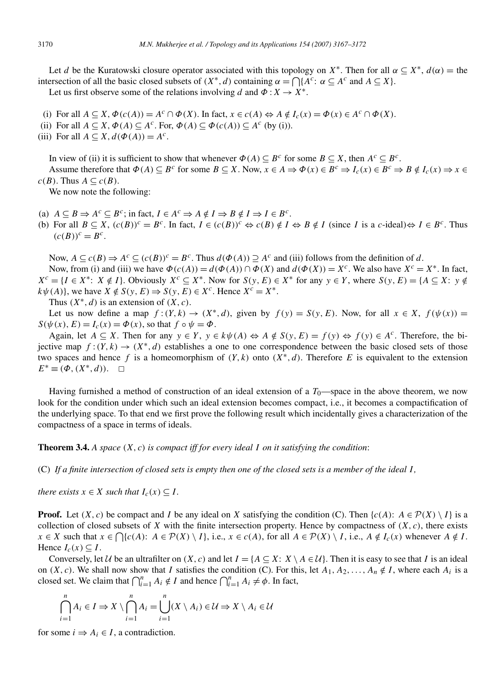Let d be the Kuratowski closure operator associated with this topology on  $X^*$ . Then for all  $\alpha \subseteq X^*$ ,  $d(\alpha) =$  the intersection of all the basic closed subsets of  $(X^*, d)$  containing  $\alpha = \bigcap \{A^c : \alpha \subseteq A^c \text{ and } A \subseteq X\}.$ 

Let us first observe some of the relations involving d and  $\Phi: X \to X^*$ .

- (i) For all  $A \subseteq X$ ,  $\Phi(c(A)) = A^c \cap \Phi(X)$ . In fact,  $x \in c(A) \Leftrightarrow A \notin I_c(x) = \Phi(x) \in A^c \cap \Phi(X)$ .
- (ii) For all  $A \subseteq X$ ,  $\Phi(A) \subseteq A^c$ . For,  $\Phi(A) \subseteq \Phi(c(A)) \subseteq A^c$  (by (i)).
- (iii) For all  $A \subseteq X$ ,  $d(\Phi(A)) = A^c$ .

In view of (ii) it is sufficient to show that whenever  $\Phi(A) \subseteq B^c$  for some  $B \subseteq X$ , then  $A^c \subseteq B^c$ . Assume therefore that  $\Phi(A) \subseteq B^c$  for some  $B \subseteq X$ . Now,  $x \in A \Rightarrow \Phi(x) \in B^c \Rightarrow I_c(x) \in B^c \Rightarrow B \notin I_c(x) \Rightarrow x \in A$  $c(B)$ . Thus  $A \subseteq c(B)$ .

We now note the following:

- (a)  $A \subseteq B \Rightarrow A^c \subseteq B^c$ ; in fact,  $I \in A^c \Rightarrow A \notin I \Rightarrow B \notin I \Rightarrow I \in B^c$ .
- (b) For all  $B \subseteq X$ ,  $(c(B))^c = B^c$ . In fact,  $I \in (c(B))^c \Leftrightarrow c(B) \notin I \Leftrightarrow B \notin I$  (since I is a c-ideal) $\Leftrightarrow I \in B^c$ . Thus  $(c(B))^c = B^c$ .

Now,  $A \subseteq c(B) \Rightarrow A^c \subseteq (c(B))^c = B^c$ . Thus  $d(\Phi(A)) \supseteq A^c$  and (iii) follows from the definition of d. Now, from (i) and (iii) we have  $\Phi(c(A)) = d(\Phi(A)) \cap \Phi(X)$  and  $d(\Phi(X)) = X^c$ . We also have  $X^c = X^*$ . In fact,  $X^c = \{I \in X^* : X \notin I\}$ . Obviously  $X^c \subseteq X^*$ . Now for  $S(y, E) \in X^*$  for any  $y \in Y$ , where  $S(y, E) = \{A \subseteq X : y \notin Y\}$  $k\psi(A)$ , we have  $X \notin S(y, E) \Rightarrow S(y, E) \in X^c$ . Hence  $X^c = X^*$ .

Thus  $(X^*, d)$  is an extension of  $(X, c)$ .

Let us now define a map  $f:(Y,k) \to (X^*,d)$ , given by  $f(y) = S(y, E)$ . Now, for all  $x \in X$ ,  $f(\psi(x)) =$  $S(\psi(x), E) = I_c(x) = \Phi(x)$ , so that  $f \circ \psi = \Phi$ .

Again, let  $A \subseteq X$ . Then for any  $y \in Y$ ,  $y \in k\psi(A) \Leftrightarrow A \notin S(y, E) = f(y) \Leftrightarrow f(y) \in A^c$ . Therefore, the bijective map  $f:(Y,k) \to (X^*,d)$  establishes a one to one correspondence between the basic closed sets of those two spaces and hence f is a homeomorphism of  $(Y, k)$  onto  $(X^*, d)$ . Therefore E is equivalent to the extension  $E^* \equiv (\Phi, (X^*, d))$ .  $\Box$ 

Having furnished a method of construction of an ideal extension of a  $T_0$ —space in the above theorem, we now look for the condition under which such an ideal extension becomes compact, i.e., it becomes a compactification of the underlying space. To that end we first prove the following result which incidentally gives a characterization of the compactness of a space in terms of ideals.

**Theorem 3.4.** *A space* (X, c) *is compact iff for every ideal* I *on it satisfying the condition*:

(C) *If a finite intersection of closed sets is empty then one of the closed sets is a member of the ideal* I *,*

*there exists*  $x \in X$  *such that*  $I_c(x) \subseteq I$ *.* 

**Proof.** Let  $(X, c)$  be compact and I be any ideal on X satisfying the condition (C). Then  $\{c(A): A \in \mathcal{P}(X) \setminus I\}$  is a collection of closed subsets of X with the finite intersection property. Hence by compactness of  $(X, c)$ , there exists  $x \in X$  such that  $x \in \bigcap \{c(A): A \in \mathcal{P}(X) \setminus I\}$ , i.e.,  $x \in c(A)$ , for all  $A \in \mathcal{P}(X) \setminus I$ , i.e.,  $A \notin I_c(x)$  whenever  $A \notin I$ . Hence  $I_c(x) \subseteq I$ .

Conversely, let U be an ultrafilter on  $(X, c)$  and let  $I = \{A \subseteq X: X \setminus A \in U\}$ . Then it is easy to see that I is an ideal on  $(X, c)$ . We shall now show that I satisfies the condition (C). For this, let  $A_1, A_2, \ldots, A_n \notin I$ , where each  $A_i$  is a closed set. We claim that  $\bigcap_{i=1}^{n} A_i \notin I$  and hence  $\bigcap_{i=1}^{n} A_i \neq \emptyset$ . In fact,

$$
\bigcap_{i=1}^{n} A_{i} \in I \Rightarrow X \setminus \bigcap_{i=1}^{n} A_{i} = \bigcup_{i=1}^{n} (X \setminus A_{i}) \in \mathcal{U} \Rightarrow X \setminus A_{i} \in \mathcal{U}
$$

for some  $i \Rightarrow A_i \in I$ , a contradiction.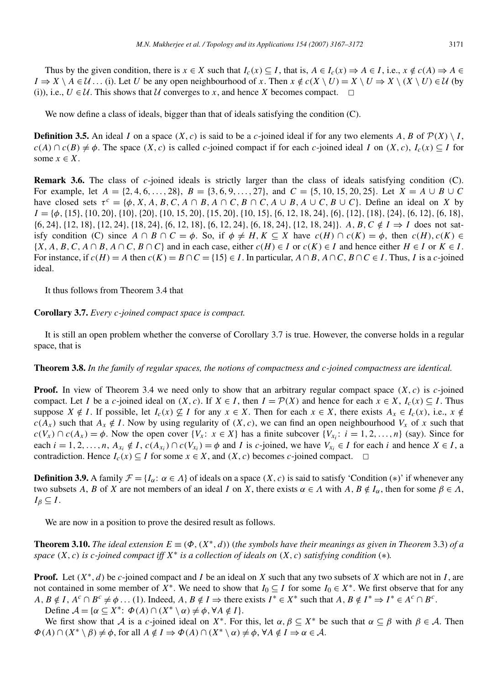Thus by the given condition, there is  $x \in X$  such that  $I_c(x) \subseteq I$ , that is,  $A \in I_c(x) \Rightarrow A \in I$ , i.e.,  $x \notin c(A) \Rightarrow A \in I_c$  $I \Rightarrow X \setminus A \in \mathcal{U}$ ... (i). Let U be any open neighbourhood of x. Then  $x \notin c(X \setminus U) = X \setminus U \Rightarrow X \setminus (X \setminus U) \in \mathcal{U}$  (by (i)), i.e.,  $U \in \mathcal{U}$ . This shows that  $\mathcal{U}$  converges to x, and hence X becomes compact.  $\Box$ 

We now define a class of ideals, bigger than that of ideals satisfying the condition (C).

**Definition 3.5.** An ideal I on a space  $(X, c)$  is said to be a c-joined ideal if for any two elements A, B of  $\mathcal{P}(X) \setminus I$ ,  $c(A) \cap c(B) \neq \emptyset$ . The space  $(X, c)$  is called c-joined compact if for each c-joined ideal I on  $(X, c)$ ,  $I_c(x) \subseteq I$  for some  $x \in X$ .

**Remark 3.6.** The class of c-joined ideals is strictly larger than the class of ideals satisfying condition (C). For example, let  $A = \{2, 4, 6, \ldots, 28\}, B = \{3, 6, 9, \ldots, 27\}, \text{ and } C = \{5, 10, 15, 20, 25\}.$  Let  $X = A \cup B \cup C$ have closed sets  $\tau^c = \{\phi, X, A, B, C, A \cap B, A \cap C, B \cap C, A \cup B, A \cup C, B \cup C\}$ . Define an ideal on X by  $I = {\phi, {15}, {10, 20}, {10}, {20}, {10, 15, 20}, {15, 20}, {10, 15}, {6, 12, 18, 24}, {6}, {12}, {18}, {24}, {6}, {12}, {6}, {12}, {6}, {12},$  $\{6, 24\}, \{12, 18\}, \{12, 24\}, \{18, 24\}, \{6, 12, 18\}, \{6, 12, 24\}, \{6, 18, 24\}, \{12, 18, 24\}\}.$  A, B, C  $\notin I \Rightarrow I$  does not satisfy condition (C) since  $A \cap B \cap C = \phi$ . So, if  $\phi \neq H, K \subseteq X$  have  $c(H) \cap c(K) = \phi$ , then  $c(H), c(K) \in$  $\{X, A, B, C, A \cap B, A \cap C, B \cap C\}$  and in each case, either  $c(H) \in I$  or  $c(K) \in I$  and hence either  $H \in I$  or  $K \in I$ . For instance, if  $c(H) = A$  then  $c(K) = B \cap C = \{15\} \in I$ . In particular,  $A \cap B$ ,  $A \cap C$ ,  $B \cap C \in I$ . Thus, I is a c-joined ideal.

It thus follows from Theorem 3.4 that

**Corollary 3.7.** *Every* c*-joined compact space is compact.*

It is still an open problem whether the converse of Corollary 3.7 is true. However, the converse holds in a regular space, that is

**Theorem 3.8.** *In the family of regular spaces, the notions of compactness and* c*-joined compactness are identical.*

**Proof.** In view of Theorem 3.4 we need only to show that an arbitrary regular compact space  $(X, c)$  is c-joined compact. Let I be a c-joined ideal on  $(X, c)$ . If  $X \in I$ , then  $I = \mathcal{P}(X)$  and hence for each  $x \in X$ ,  $I_c(x) \subseteq I$ . Thus suppose  $X \notin I$ . If possible, let  $I_c(x) \nsubseteq I$  for any  $x \in X$ . Then for each  $x \in X$ , there exists  $A_x \in I_c(x)$ , i.e.,  $x \notin I_c(x)$  $c(A_x)$  such that  $A_x \notin I$ . Now by using regularity of  $(X, c)$ , we can find an open neighbourhood  $V_x$  of x such that  $c(V_x) \cap c(A_x) = \phi$ . Now the open cover  $\{V_x : x \in X\}$  has a finite subcover  $\{V_{x_i} : i = 1, 2, ..., n\}$  (say). Since for each  $i = 1, 2, ..., n$ ,  $A_{x_i} \notin I$ ,  $c(A_{x_i}) \cap c(V_{x_i}) = \phi$  and I is c-joined, we have  $V_{x_i} \in I$  for each i and hence  $X \in I$ , a contradiction. Hence  $I_c(x) \subseteq I$  for some  $x \in X$ , and  $(X, c)$  becomes c-joined compact.  $\Box$ 

**Definition 3.9.** A family  $\mathcal{F} = \{I_{\alpha}: \alpha \in \Lambda\}$  of ideals on a space  $(X, c)$  is said to satisfy 'Condition (\*)' if whenever any two subsets A, B of X are not members of an ideal I on X, there exists  $\alpha \in A$  with A,  $B \notin I_\alpha$ , then for some  $\beta \in A$ ,  $I_\beta \subseteq I$ .

We are now in a position to prove the desired result as follows.

**Theorem 3.10.** *The ideal extension*  $E \equiv (\Phi, (X^*, d))$  (*the symbols have their meanings as given in Theorem* 3.3) *of a space* (X, c) *is* c*-joined compact iff* X<sup>∗</sup> *is a collection of ideals on* (X, c) *satisfying condition* (∗)*.*

**Proof.** Let  $(X^*, d)$  be c-joined compact and I be an ideal on X such that any two subsets of X which are not in I, are not contained in some member of  $X^*$ . We need to show that  $I_0 \subseteq I$  for some  $I_0 \in X^*$ . We first observe that for any  $A, B \notin I$ ,  $A^c \cap B^c \neq \emptyset$ ... (1). Indeed,  $A, B \notin I \Rightarrow$  there exists  $I^* \in X^*$  such that  $A, B \notin I^* \Rightarrow I^* \in A^c \cap B^c$ .

Define  $\mathcal{A} = \{ \alpha \subseteq X^* : \Phi(A) \cap (X^* \setminus \alpha) \neq \phi, \forall A \notin I \}.$ 

We first show that A is a c-joined ideal on  $X^*$ . For this, let  $\alpha, \beta \subseteq X^*$  be such that  $\alpha \subseteq \beta$  with  $\beta \in \mathcal{A}$ . Then  $\Phi(A) \cap (X^* \setminus \beta) \neq \phi$ , for all  $A \notin I \Rightarrow \Phi(A) \cap (X^* \setminus \alpha) \neq \phi$ ,  $\forall A \notin I \Rightarrow \alpha \in \mathcal{A}$ .